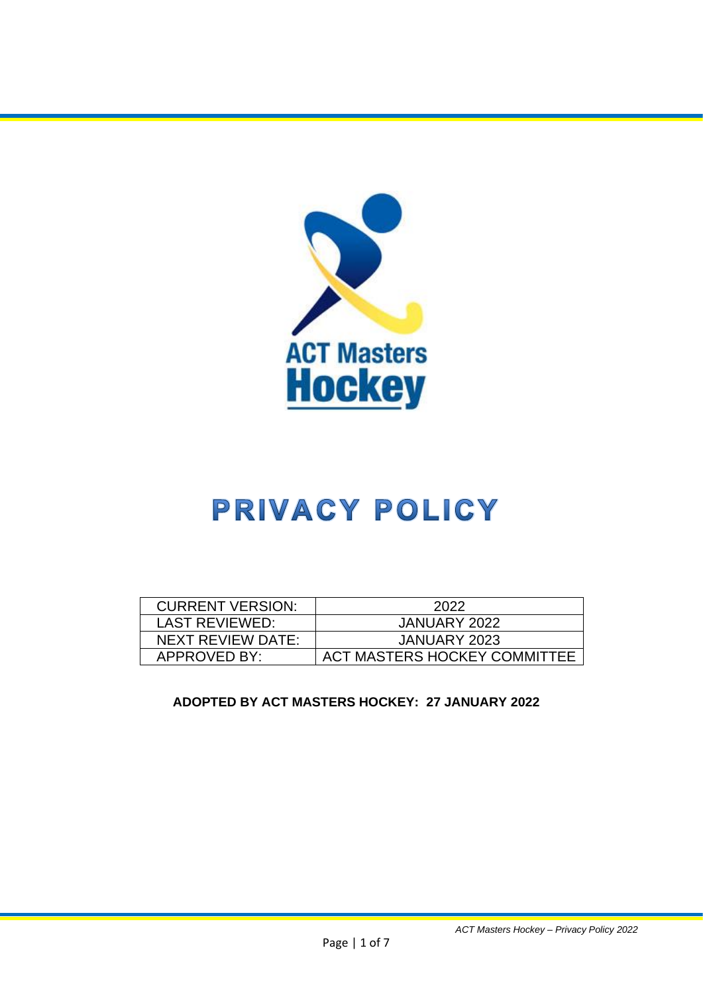

# PRIVACY POLICY

| <b>CURRENT VERSION:</b> | 2022                         |
|-------------------------|------------------------------|
|                         |                              |
| <b>LAST REVIEWED:</b>   | JANUARY 2022                 |
|                         |                              |
| NEXT REVIEW DATE:       | JANUARY 2023                 |
|                         |                              |
| APPROVED BY:            | ACT MASTERS HOCKEY COMMITTEE |
|                         |                              |

### **ADOPTED BY ACT MASTERS HOCKEY: 27 JANUARY 2022**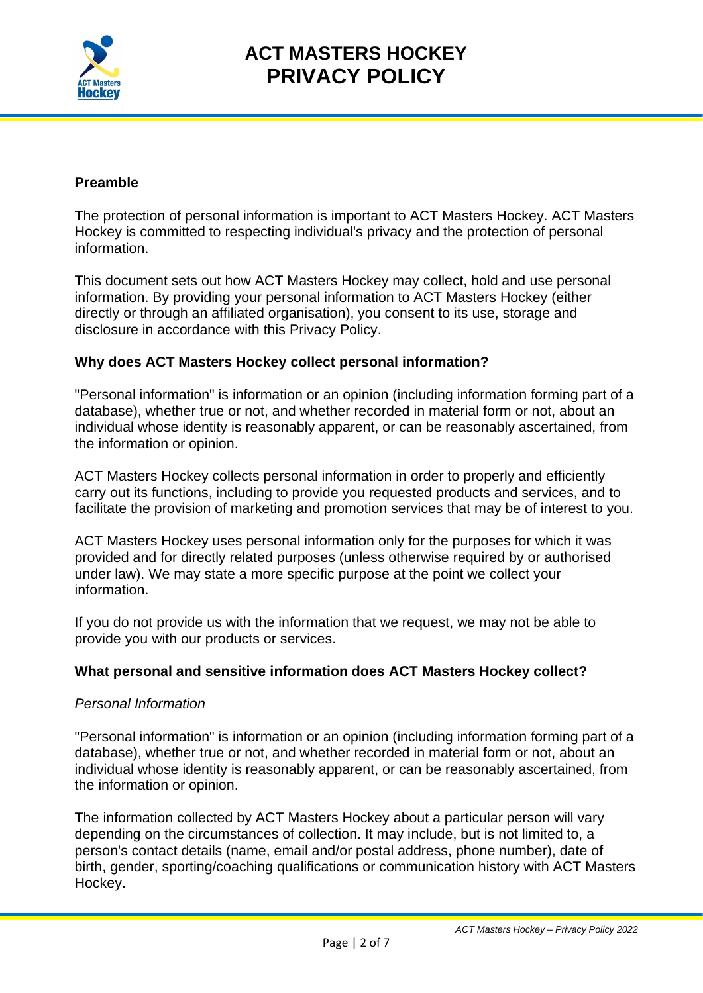

### **Preamble**

The protection of personal information is important to ACT Masters Hockey. ACT Masters Hockey is committed to respecting individual's privacy and the protection of personal information.

This document sets out how ACT Masters Hockey may collect, hold and use personal information. By providing your personal information to ACT Masters Hockey (either directly or through an affiliated organisation), you consent to its use, storage and disclosure in accordance with this Privacy Policy.

#### **Why does ACT Masters Hockey collect personal information?**

"Personal information" is information or an opinion (including information forming part of a database), whether true or not, and whether recorded in material form or not, about an individual whose identity is reasonably apparent, or can be reasonably ascertained, from the information or opinion.

ACT Masters Hockey collects personal information in order to properly and efficiently carry out its functions, including to provide you requested products and services, and to facilitate the provision of marketing and promotion services that may be of interest to you.

ACT Masters Hockey uses personal information only for the purposes for which it was provided and for directly related purposes (unless otherwise required by or authorised under law). We may state a more specific purpose at the point we collect your information.

If you do not provide us with the information that we request, we may not be able to provide you with our products or services.

#### **What personal and sensitive information does ACT Masters Hockey collect?**

#### *Personal Information*

"Personal information" is information or an opinion (including information forming part of a database), whether true or not, and whether recorded in material form or not, about an individual whose identity is reasonably apparent, or can be reasonably ascertained, from the information or opinion.

The information collected by ACT Masters Hockey about a particular person will vary depending on the circumstances of collection. It may include, but is not limited to, a person's contact details (name, email and/or postal address, phone number), date of birth, gender, sporting/coaching qualifications or communication history with ACT Masters Hockey.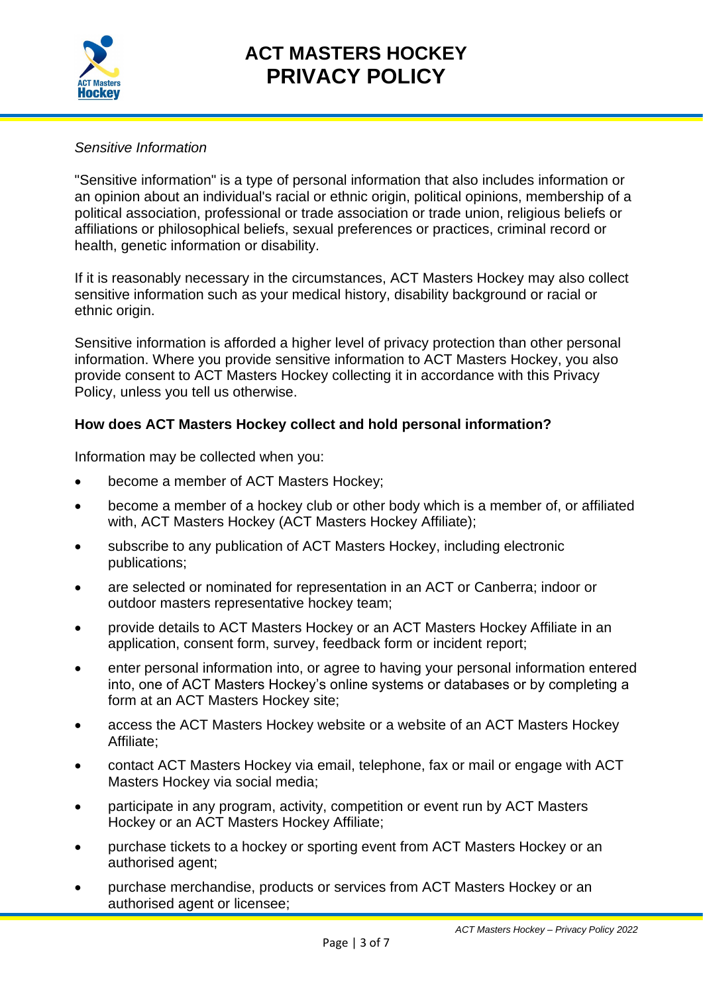

### *Sensitive Information*

"Sensitive information" is a type of personal information that also includes information or an opinion about an individual's racial or ethnic origin, political opinions, membership of a political association, professional or trade association or trade union, religious beliefs or affiliations or philosophical beliefs, sexual preferences or practices, criminal record or health, genetic information or disability.

If it is reasonably necessary in the circumstances, ACT Masters Hockey may also collect sensitive information such as your medical history, disability background or racial or ethnic origin.

Sensitive information is afforded a higher level of privacy protection than other personal information. Where you provide sensitive information to ACT Masters Hockey, you also provide consent to ACT Masters Hockey collecting it in accordance with this Privacy Policy, unless you tell us otherwise.

### **How does ACT Masters Hockey collect and hold personal information?**

Information may be collected when you:

- become a member of ACT Masters Hockey;
- become a member of a hockey club or other body which is a member of, or affiliated with, ACT Masters Hockey (ACT Masters Hockey Affiliate);
- subscribe to any publication of ACT Masters Hockey, including electronic publications;
- are selected or nominated for representation in an ACT or Canberra; indoor or outdoor masters representative hockey team;
- provide details to ACT Masters Hockey or an ACT Masters Hockey Affiliate in an application, consent form, survey, feedback form or incident report;
- enter personal information into, or agree to having your personal information entered into, one of ACT Masters Hockey's online systems or databases or by completing a form at an ACT Masters Hockey site;
- access the ACT Masters Hockey website or a website of an ACT Masters Hockey Affiliate;
- contact ACT Masters Hockey via email, telephone, fax or mail or engage with ACT Masters Hockey via social media;
- participate in any program, activity, competition or event run by ACT Masters Hockey or an ACT Masters Hockey Affiliate;
- purchase tickets to a hockey or sporting event from ACT Masters Hockey or an authorised agent;
- purchase merchandise, products or services from ACT Masters Hockey or an authorised agent or licensee;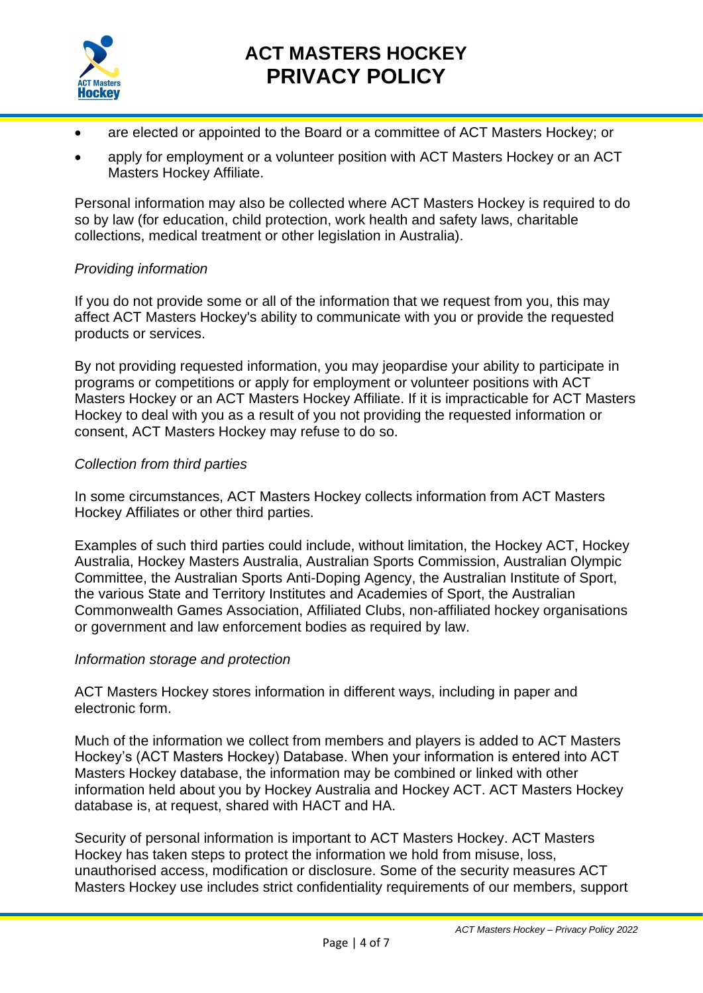

- are elected or appointed to the Board or a committee of ACT Masters Hockey; or
- apply for employment or a volunteer position with ACT Masters Hockey or an ACT Masters Hockey Affiliate.

Personal information may also be collected where ACT Masters Hockey is required to do so by law (for education, child protection, work health and safety laws, charitable collections, medical treatment or other legislation in Australia).

#### *Providing information*

If you do not provide some or all of the information that we request from you, this may affect ACT Masters Hockey's ability to communicate with you or provide the requested products or services.

By not providing requested information, you may jeopardise your ability to participate in programs or competitions or apply for employment or volunteer positions with ACT Masters Hockey or an ACT Masters Hockey Affiliate. If it is impracticable for ACT Masters Hockey to deal with you as a result of you not providing the requested information or consent, ACT Masters Hockey may refuse to do so.

#### *Collection from third parties*

In some circumstances, ACT Masters Hockey collects information from ACT Masters Hockey Affiliates or other third parties.

Examples of such third parties could include, without limitation, the Hockey ACT, Hockey Australia, Hockey Masters Australia, Australian Sports Commission, Australian Olympic Committee, the Australian Sports Anti-Doping Agency, the Australian Institute of Sport, the various State and Territory Institutes and Academies of Sport, the Australian Commonwealth Games Association, Affiliated Clubs, non-affiliated hockey organisations or government and law enforcement bodies as required by law.

#### *Information storage and protection*

ACT Masters Hockey stores information in different ways, including in paper and electronic form.

Much of the information we collect from members and players is added to ACT Masters Hockey's (ACT Masters Hockey) Database. When your information is entered into ACT Masters Hockey database, the information may be combined or linked with other information held about you by Hockey Australia and Hockey ACT. ACT Masters Hockey database is, at request, shared with HACT and HA.

Security of personal information is important to ACT Masters Hockey. ACT Masters Hockey has taken steps to protect the information we hold from misuse, loss, unauthorised access, modification or disclosure. Some of the security measures ACT Masters Hockey use includes strict confidentiality requirements of our members, support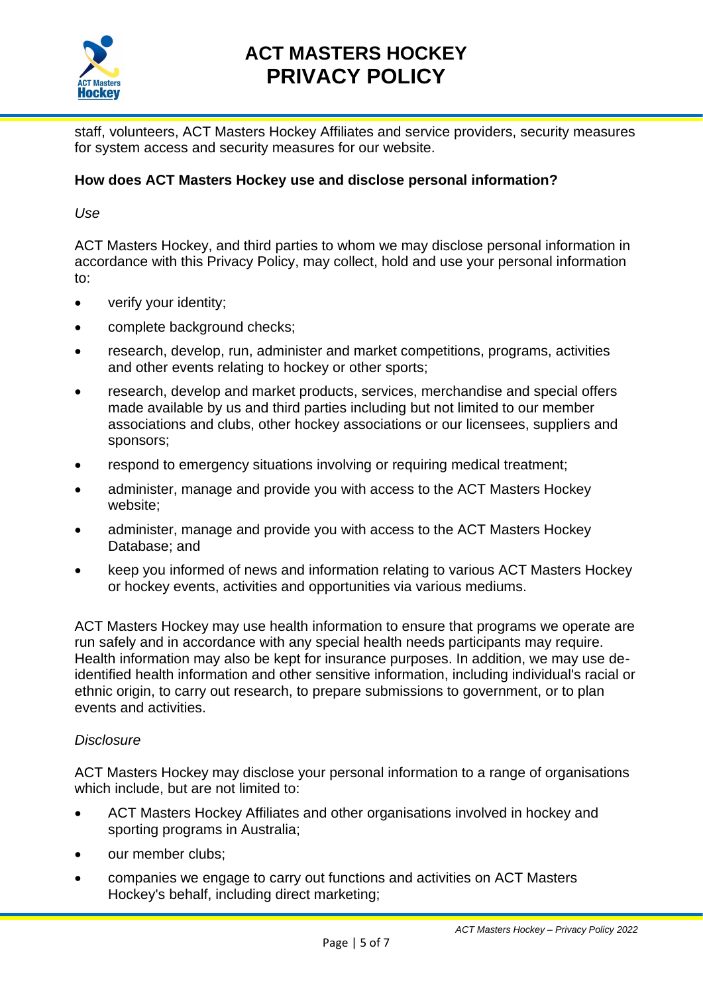

staff, volunteers, ACT Masters Hockey Affiliates and service providers, security measures for system access and security measures for our website.

### **How does ACT Masters Hockey use and disclose personal information?**

*Use*

ACT Masters Hockey, and third parties to whom we may disclose personal information in accordance with this Privacy Policy, may collect, hold and use your personal information to:

- verify your identity;
- complete background checks;
- research, develop, run, administer and market competitions, programs, activities and other events relating to hockey or other sports;
- research, develop and market products, services, merchandise and special offers made available by us and third parties including but not limited to our member associations and clubs, other hockey associations or our licensees, suppliers and sponsors;
- respond to emergency situations involving or requiring medical treatment;
- administer, manage and provide you with access to the ACT Masters Hockey website;
- administer, manage and provide you with access to the ACT Masters Hockey Database; and
- keep you informed of news and information relating to various ACT Masters Hockey or hockey events, activities and opportunities via various mediums.

ACT Masters Hockey may use health information to ensure that programs we operate are run safely and in accordance with any special health needs participants may require. Health information may also be kept for insurance purposes. In addition, we may use deidentified health information and other sensitive information, including individual's racial or ethnic origin, to carry out research, to prepare submissions to government, or to plan events and activities.

#### *Disclosure*

ACT Masters Hockey may disclose your personal information to a range of organisations which include, but are not limited to:

- ACT Masters Hockey Affiliates and other organisations involved in hockey and sporting programs in Australia;
- our member clubs:
- companies we engage to carry out functions and activities on ACT Masters Hockey's behalf, including direct marketing;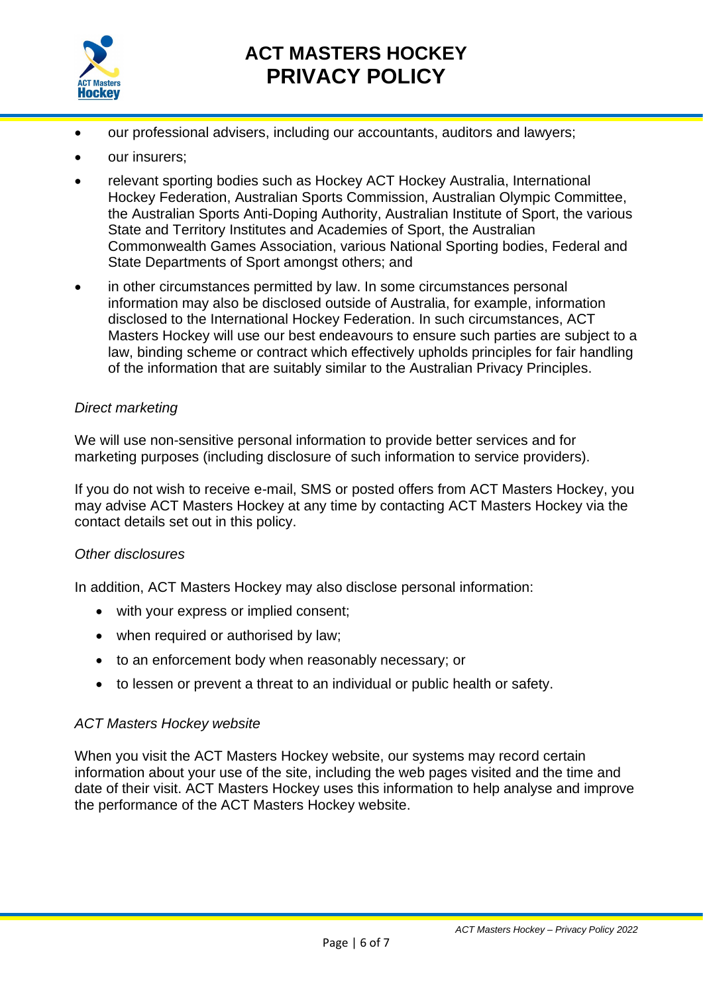

- our professional advisers, including our accountants, auditors and lawyers;
- our insurers;
- relevant sporting bodies such as Hockey ACT Hockey Australia, International Hockey Federation, Australian Sports Commission, Australian Olympic Committee, the Australian Sports Anti-Doping Authority, Australian Institute of Sport, the various State and Territory Institutes and Academies of Sport, the Australian Commonwealth Games Association, various National Sporting bodies, Federal and State Departments of Sport amongst others; and
- in other circumstances permitted by law. In some circumstances personal information may also be disclosed outside of Australia, for example, information disclosed to the International Hockey Federation. In such circumstances, ACT Masters Hockey will use our best endeavours to ensure such parties are subject to a law, binding scheme or contract which effectively upholds principles for fair handling of the information that are suitably similar to the Australian Privacy Principles.

#### *Direct marketing*

We will use non-sensitive personal information to provide better services and for marketing purposes (including disclosure of such information to service providers).

If you do not wish to receive e-mail, SMS or posted offers from ACT Masters Hockey, you may advise ACT Masters Hockey at any time by contacting ACT Masters Hockey via the contact details set out in this policy.

#### *Other disclosures*

In addition, ACT Masters Hockey may also disclose personal information:

- with your express or implied consent;
- when required or authorised by law;
- to an enforcement body when reasonably necessary; or
- to lessen or prevent a threat to an individual or public health or safety.

#### *ACT Masters Hockey website*

When you visit the ACT Masters Hockey website, our systems may record certain information about your use of the site, including the web pages visited and the time and date of their visit. ACT Masters Hockey uses this information to help analyse and improve the performance of the ACT Masters Hockey website.